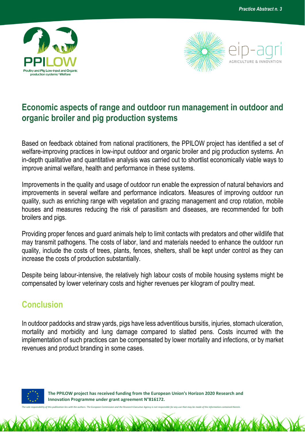



## **Economic aspects of range and outdoor run management in outdoor and organic broiler and pig production systems**

Based on feedback obtained from national practitioners, the PPILOW project has identified a set of welfare-improving practices in low-input outdoor and organic broiler and pig production systems. An in-depth qualitative and quantitative analysis was carried out to shortlist economically viable ways to improve animal welfare, health and performance in these systems.

Improvements in the quality and usage of outdoor run enable the expression of natural behaviors and improvements in several welfare and performance indicators. Measures of improving outdoor run quality, such as enriching range with vegetation and grazing management and crop rotation, mobile houses and measures reducing the risk of parasitism and diseases, are recommended for both broilers and pigs.

Providing proper fences and guard animals help to limit contacts with predators and other wildlife that may transmit pathogens. The costs of labor, land and materials needed to enhance the outdoor run quality, include the costs of trees, plants, fences, shelters, shall be kept under control as they can increase the costs of production substantially.

Despite being labour-intensive, the relatively high labour costs of mobile housing systems might be compensated by lower veterinary costs and higher revenues per kilogram of poultry meat.

## **Conclusion**

In outdoor paddocks and straw yards, pigs have less adventitious bursitis, injuries, stomach ulceration, mortality and morbidity and lung damage compared to slatted pens. Costs incurred with the implementation of such practices can be compensated by lower mortality and infections, or by market revenues and product branding in some cases.



 **The PPILOW project has received funding from the European Union's Horizon 2020 Research and Innovation Programme under grant agreement N°816172.**

*The sole responsibility of this publication lies with the authors. The European Commission and the Research Executive Agency is not responsible for any use that may be made of the information contained therein.*